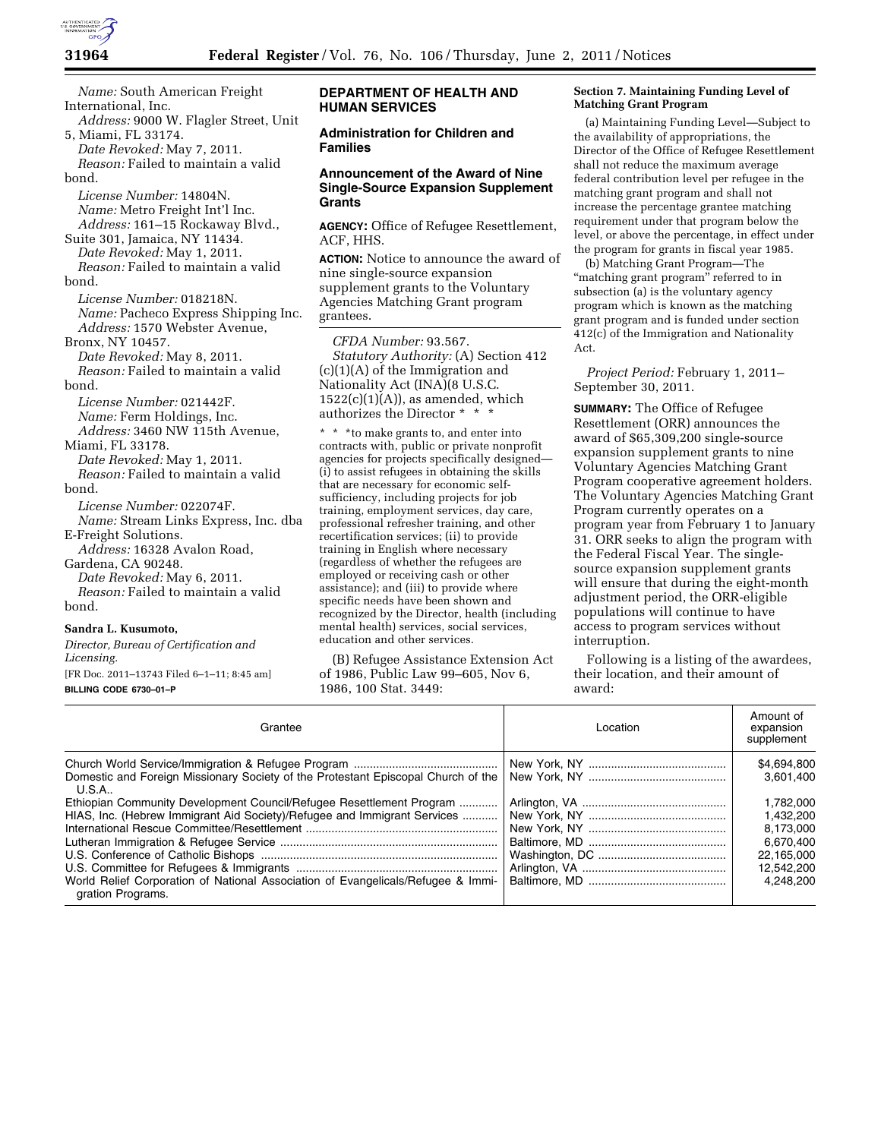

*Name:* South American Freight International, Inc. *Address:* 9000 W. Flagler Street, Unit 5, Miami, FL 33174.

*Date Revoked:* May 7, 2011. *Reason:* Failed to maintain a valid bond.

*License Number:* 14804N. *Name:* Metro Freight Int'l Inc. *Address:* 161–15 Rockaway Blvd.,

Suite 301, Jamaica, NY 11434. *Date Revoked:* May 1, 2011. *Reason:* Failed to maintain a valid

bond.

*License Number:* 018218N. *Name:* Pacheco Express Shipping Inc. *Address:* 1570 Webster Avenue,

Bronx, NY 10457. *Date Revoked:* May 8, 2011. *Reason:* Failed to maintain a valid bond.

*License Number:* 021442F. *Name:* Ferm Holdings, Inc.

*Address:* 3460 NW 115th Avenue, Miami, FL 33178.

*Date Revoked:* May 1, 2011. *Reason:* Failed to maintain a valid bond.

*License Number:* 022074F.

*Name:* Stream Links Express, Inc. dba E-Freight Solutions.

*Address:* 16328 Avalon Road, Gardena, CA 90248.

*Date Revoked:* May 6, 2011. *Reason:* Failed to maintain a valid

# bond.

#### **Sandra L. Kusumoto,**

*Director, Bureau of Certification and Licensing.* 

[FR Doc. 2011–13743 Filed 6–1–11; 8:45 am] **BILLING CODE 6730–01–P** 

## **DEPARTMENT OF HEALTH AND HUMAN SERVICES**

# **Administration for Children and Families**

## **Announcement of the Award of Nine Single-Source Expansion Supplement Grants**

**AGENCY:** Office of Refugee Resettlement, ACF, HHS.

**ACTION:** Notice to announce the award of nine single-source expansion supplement grants to the Voluntary Agencies Matching Grant program grantees.

*CFDA Number:* 93.567. *Statutory Authority:* (A) Section 412 (c)(1)(A) of the Immigration and Nationality Act (INA)(8 U.S.C.  $1522(c)(1)(A)$ , as amended, which authorizes the Director \* \* \*

\* \* \*to make grants to, and enter into contracts with, public or private nonprofit agencies for projects specifically designed— (i) to assist refugees in obtaining the skills that are necessary for economic selfsufficiency, including projects for job training, employment services, day care, professional refresher training, and other recertification services; (ii) to provide training in English where necessary (regardless of whether the refugees are employed or receiving cash or other assistance); and (iii) to provide where specific needs have been shown and recognized by the Director, health (including mental health) services, social services, education and other services.

(B) Refugee Assistance Extension Act of 1986, Public Law 99–605, Nov 6, 1986, 100 Stat. 3449:

#### **Section 7. Maintaining Funding Level of Matching Grant Program**

(a) Maintaining Funding Level—Subject to the availability of appropriations, the Director of the Office of Refugee Resettlement shall not reduce the maximum average federal contribution level per refugee in the matching grant program and shall not increase the percentage grantee matching requirement under that program below the level, or above the percentage, in effect under the program for grants in fiscal year 1985.

(b) Matching Grant Program—The "matching grant program" referred to in subsection (a) is the voluntary agency program which is known as the matching grant program and is funded under section 412(c) of the Immigration and Nationality Act.

*Project Period:* February 1, 2011– September 30, 2011.

**SUMMARY:** The Office of Refugee Resettlement (ORR) announces the award of \$65,309,200 single-source expansion supplement grants to nine Voluntary Agencies Matching Grant Program cooperative agreement holders. The Voluntary Agencies Matching Grant Program currently operates on a program year from February 1 to January 31. ORR seeks to align the program with the Federal Fiscal Year. The singlesource expansion supplement grants will ensure that during the eight-month adjustment period, the ORR-eligible populations will continue to have access to program services without interruption.

Following is a listing of the awardees, their location, and their amount of award:

| Grantee                                                                                                                                                                                                                                                                                                                                                 | Location | Amount of<br>expansion<br>supplement                                                                                  |
|---------------------------------------------------------------------------------------------------------------------------------------------------------------------------------------------------------------------------------------------------------------------------------------------------------------------------------------------------------|----------|-----------------------------------------------------------------------------------------------------------------------|
| Domestic and Foreign Missionary Society of the Protestant Episcopal Church of the<br>U.S.A<br>Ethiopian Community Development Council/Refugee Resettlement Program<br>HIAS, Inc. (Hebrew Immigrant Aid Society)/Refugee and Immigrant Services<br>World Relief Corporation of National Association of Evangelicals/Refugee & Immi-<br>gration Programs. |          | \$4,694,800<br>3.601.400<br>1.782.000<br>1.432.200<br>8.173.000<br>6.670.400<br>22.165.000<br>12.542.200<br>4.248.200 |